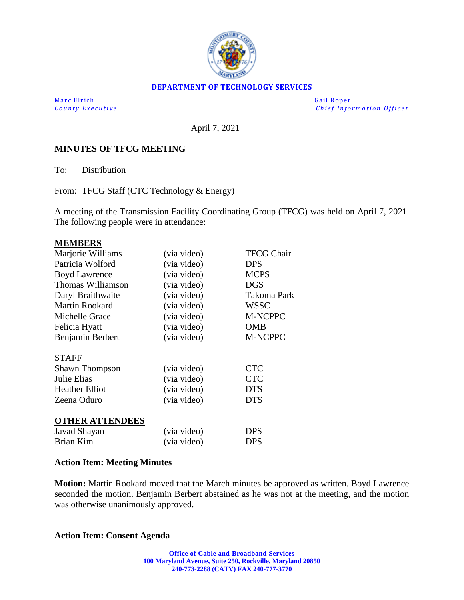

### **DEPARTMENT OF TECHNOLOGY SERVICES**

Marc Elrich Gail Roper

*County Executive* **Executive** *County Executive Chief Information Officer* 

April 7, 2021

### **MINUTES OF TFCG MEETING**

To: Distribution

From: TFCG Staff (CTC Technology & Energy)

A meeting of the Transmission Facility Coordinating Group (TFCG) was held on April 7, 2021. The following people were in attendance:

#### **MEMBERS**

| Marjorie Williams      | (via video) | <b>TFCG Chair</b>  |
|------------------------|-------------|--------------------|
| Patricia Wolford       | (via video) | <b>DPS</b>         |
| <b>Boyd Lawrence</b>   | (via video) | <b>MCPS</b>        |
| Thomas Williamson      | (via video) | <b>DGS</b>         |
| Daryl Braithwaite      | (via video) | <b>Takoma Park</b> |
| <b>Martin Rookard</b>  | (via video) | <b>WSSC</b>        |
| Michelle Grace         | (via video) | M-NCPPC            |
| Felicia Hyatt          | (via video) | <b>OMB</b>         |
| Benjamin Berbert       | (via video) | M-NCPPC            |
|                        |             |                    |
| <b>STAFF</b>           |             |                    |
| <b>Shawn Thompson</b>  | (via video) | <b>CTC</b>         |
| Julie Elias            | (via video) | <b>CTC</b>         |
| <b>Heather Elliot</b>  | (via video) | <b>DTS</b>         |
| Zeena Oduro            | (via video) | <b>DTS</b>         |
| <b>OTHER ATTENDEES</b> |             |                    |
| Javad Shayan           | (via video) | <b>DPS</b>         |
| Brian Kim              | (via video) | <b>DPS</b>         |

### **Action Item: Meeting Minutes**

**Motion:** Martin Rookard moved that the March minutes be approved as written. Boyd Lawrence seconded the motion. Benjamin Berbert abstained as he was not at the meeting, and the motion was otherwise unanimously approved.

### **Action Item: Consent Agenda**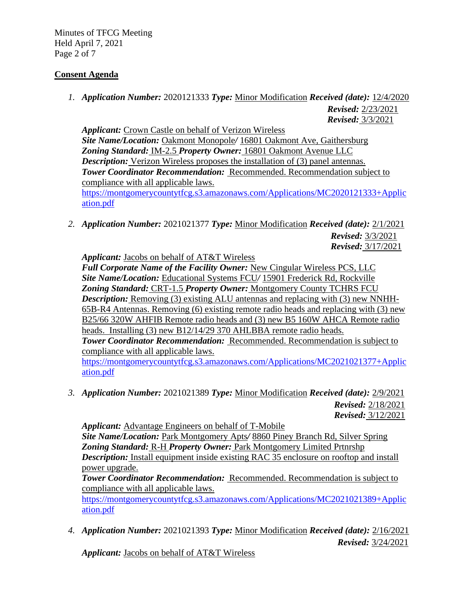Minutes of TFCG Meeting Held April 7, 2021 Page 2 of 7

# **Consent Agenda**

*1. Application Number:* 2020121333 *Type:* Minor Modification *Received (date):* 12/4/2020 *Revised:* 2/23/2021

*Revised:* 3/3/2021

*Applicant:* Crown Castle on behalf of Verizon Wireless *Site Name/Location:* Oakmont Monopole*/* 16801 Oakmont Ave, Gaithersburg *Zoning Standard:* IM-2.5 *Property Owner:* 16801 Oakmont Avenue LLC *Description:* Verizon Wireless proposes the installation of (3) panel antennas. *Tower Coordinator Recommendation:* Recommended. Recommendation subject to compliance with all applicable laws. [https://montgomerycountytfcg.s3.amazonaws.com/Applications/MC2020121333+Applic](https://montgomerycountytfcg.s3.amazonaws.com/Applications/MC2020121333+Application.pdf) [ation.pdf](https://montgomerycountytfcg.s3.amazonaws.com/Applications/MC2020121333+Application.pdf)

*2. Application Number:* 2021021377 *Type:* Minor Modification *Received (date):* 2/1/2021 *Revised:* 3/3/2021 *Revised:* 3/17/2021

*Applicant:* Jacobs on behalf of AT&T Wireless

*Full Corporate Name of the Facility Owner:* New Cingular Wireless PCS, LLC *Site Name/Location:* Educational Systems FCU*/* 15901 Frederick Rd, Rockville *Zoning Standard:* CRT-1.5 *Property Owner:* Montgomery County TCHRS FCU *Description:* Removing (3) existing ALU antennas and replacing with (3) new NNHH-65B-R4 Antennas. Removing (6) existing remote radio heads and replacing with (3) new B25/66 320W AHFIB Remote radio heads and (3) new B5 160W AHCA Remote radio heads. Installing (3) new B12/14/29 370 AHLBBA remote radio heads. *Tower Coordinator Recommendation:* Recommended. Recommendation is subject to compliance with all applicable laws. [https://montgomerycountytfcg.s3.amazonaws.com/Applications/MC2021021377+Applic](https://montgomerycountytfcg.s3.amazonaws.com/Applications/MC2021021377+Application.pdf)

[ation.pdf](https://montgomerycountytfcg.s3.amazonaws.com/Applications/MC2021021377+Application.pdf)

*3. Application Number:* 2021021389 *Type:* Minor Modification *Received (date):* 2/9/2021 *Revised:* 2/18/2021

*Revised:* 3/12/2021

*Applicant:* Advantage Engineers on behalf of T-Mobile *Site Name/Location:* Park Montgomery Apts*/* 8860 Piney Branch Rd, Silver Spring *Zoning Standard:* R-H *Property Owner:* Park Montgomery Limited Prtnrshp *Description:* Install equipment inside existing RAC 35 enclosure on rooftop and install power upgrade.

*Tower Coordinator Recommendation:* Recommended. Recommendation is subject to compliance with all applicable laws.

[https://montgomerycountytfcg.s3.amazonaws.com/Applications/MC2021021389+Applic](https://montgomerycountytfcg.s3.amazonaws.com/Applications/MC2021021389+Application.pdf) [ation.pdf](https://montgomerycountytfcg.s3.amazonaws.com/Applications/MC2021021389+Application.pdf)

*4. Application Number:* 2021021393 *Type:* Minor Modification *Received (date):* 2/16/2021 *Revised:* 3/24/2021

*Applicant:* Jacobs on behalf of AT&T Wireless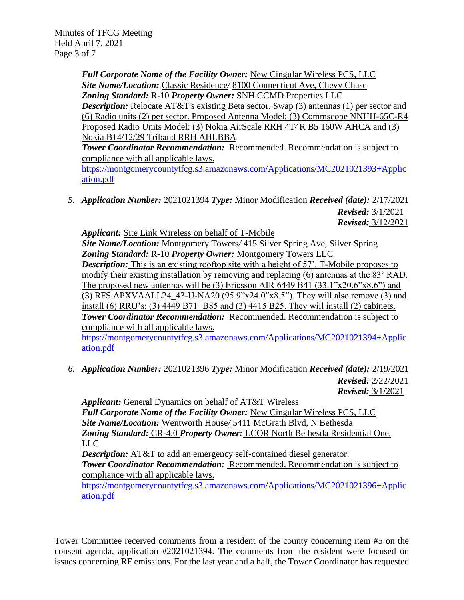Minutes of TFCG Meeting Held April 7, 2021 Page 3 of 7

> *Full Corporate Name of the Facility Owner:* New Cingular Wireless PCS, LLC *Site Name/Location:* Classic Residence*/* 8100 Connecticut Ave, Chevy Chase *Zoning Standard:* R-10 *Property Owner:* SNH CCMD Properties LLC

*Description:* Relocate AT&T's existing Beta sector. Swap (3) antennas (1) per sector and (6) Radio units (2) per sector. Proposed Antenna Model: (3) Commscope NNHH-65C-R4 Proposed Radio Units Model: (3) Nokia AirScale RRH 4T4R B5 160W AHCA and (3) Nokia B14/12/29 Triband RRH AHLBBA

*Tower Coordinator Recommendation:* Recommended. Recommendation is subject to compliance with all applicable laws.

[https://montgomerycountytfcg.s3.amazonaws.com/Applications/MC2021021393+Applic](https://montgomerycountytfcg.s3.amazonaws.com/Applications/MC2021021393+Application.pdf) [ation.pdf](https://montgomerycountytfcg.s3.amazonaws.com/Applications/MC2021021393+Application.pdf)

*5. Application Number:* 2021021394 *Type:* Minor Modification *Received (date):* 2/17/2021 *Revised:* 3/1/2021 *Revised:* 3/12/2021

*Applicant:* Site Link Wireless on behalf of T-Mobile

*Site Name/Location:* Montgomery Towers*/* 415 Silver Spring Ave, Silver Spring *Zoning Standard:* R-10 *Property Owner:* Montgomery Towers LLC **Description:** This is an existing rooftop site with a height of 57'. T-Mobile proposes to modify their existing installation by removing and replacing (6) antennas at the 83' RAD. The proposed new antennas will be  $(3)$  Ericsson AIR 6449 B41  $(33.1"x20.6"x8.6")$  and (3) RFS APXVAALL24\_43-U-NA20 (95.9"x24.0"x8.5"). They will also remove (3) and install (6) RRU's: (3) 4449 B71+B85 and (3) 4415 B25. They will install (2) cabinets. *Tower Coordinator Recommendation:* Recommended. Recommendation is subject to compliance with all applicable laws.

[https://montgomerycountytfcg.s3.amazonaws.com/Applications/MC2021021394+Applic](https://montgomerycountytfcg.s3.amazonaws.com/Applications/MC2021021394+Application.pdf) [ation.pdf](https://montgomerycountytfcg.s3.amazonaws.com/Applications/MC2021021394+Application.pdf)

*6. Application Number:* 2021021396 *Type:* Minor Modification *Received (date):* 2/19/2021 *Revised:* 2/22/2021 *Revised:* 3/1/2021

*Applicant:* General Dynamics on behalf of AT&T Wireless *Full Corporate Name of the Facility Owner:* New Cingular Wireless PCS, LLC *Site Name/Location:* Wentworth House*/* 5411 McGrath Blvd, N Bethesda *Zoning Standard:* CR-4.0 *Property Owner:* LCOR North Bethesda Residential One, LLC

*Description:* AT&T to add an emergency self-contained diesel generator.

*Tower Coordinator Recommendation:* Recommended. Recommendation is subject to compliance with all applicable laws.

[https://montgomerycountytfcg.s3.amazonaws.com/Applications/MC2021021396+Applic](https://montgomerycountytfcg.s3.amazonaws.com/Applications/MC2021021396+Application.pdf) [ation.pdf](https://montgomerycountytfcg.s3.amazonaws.com/Applications/MC2021021396+Application.pdf)

Tower Committee received comments from a resident of the county concerning item #5 on the consent agenda, application #2021021394. The comments from the resident were focused on issues concerning RF emissions. For the last year and a half, the Tower Coordinator has requested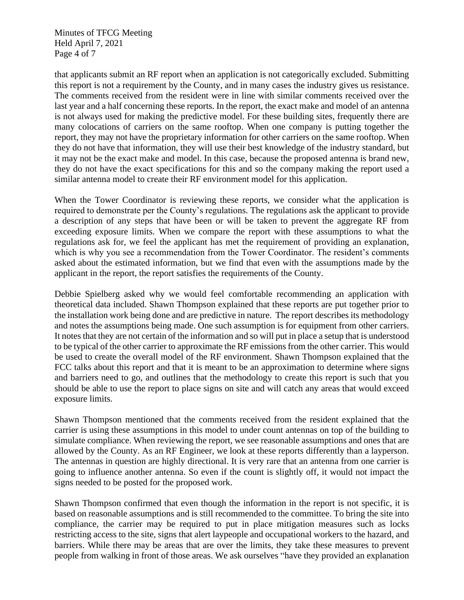Minutes of TFCG Meeting Held April 7, 2021 Page 4 of 7

that applicants submit an RF report when an application is not categorically excluded. Submitting this report is not a requirement by the County, and in many cases the industry gives us resistance. The comments received from the resident were in line with similar comments received over the last year and a half concerning these reports. In the report, the exact make and model of an antenna is not always used for making the predictive model. For these building sites, frequently there are many colocations of carriers on the same rooftop. When one company is putting together the report, they may not have the proprietary information for other carriers on the same rooftop. When they do not have that information, they will use their best knowledge of the industry standard, but it may not be the exact make and model. In this case, because the proposed antenna is brand new, they do not have the exact specifications for this and so the company making the report used a similar antenna model to create their RF environment model for this application.

When the Tower Coordinator is reviewing these reports, we consider what the application is required to demonstrate per the County's regulations. The regulations ask the applicant to provide a description of any steps that have been or will be taken to prevent the aggregate RF from exceeding exposure limits. When we compare the report with these assumptions to what the regulations ask for, we feel the applicant has met the requirement of providing an explanation, which is why you see a recommendation from the Tower Coordinator. The resident's comments asked about the estimated information, but we find that even with the assumptions made by the applicant in the report, the report satisfies the requirements of the County.

Debbie Spielberg asked why we would feel comfortable recommending an application with theoretical data included. Shawn Thompson explained that these reports are put together prior to the installation work being done and are predictive in nature. The report describes its methodology and notes the assumptions being made. One such assumption is for equipment from other carriers. It notes that they are not certain of the information and so will put in place a setup that is understood to be typical of the other carrier to approximate the RF emissions from the other carrier. This would be used to create the overall model of the RF environment. Shawn Thompson explained that the FCC talks about this report and that it is meant to be an approximation to determine where signs and barriers need to go, and outlines that the methodology to create this report is such that you should be able to use the report to place signs on site and will catch any areas that would exceed exposure limits.

Shawn Thompson mentioned that the comments received from the resident explained that the carrier is using these assumptions in this model to under count antennas on top of the building to simulate compliance. When reviewing the report, we see reasonable assumptions and ones that are allowed by the County. As an RF Engineer, we look at these reports differently than a layperson. The antennas in question are highly directional. It is very rare that an antenna from one carrier is going to influence another antenna. So even if the count is slightly off, it would not impact the signs needed to be posted for the proposed work.

Shawn Thompson confirmed that even though the information in the report is not specific, it is based on reasonable assumptions and is still recommended to the committee. To bring the site into compliance, the carrier may be required to put in place mitigation measures such as locks restricting access to the site, signs that alert laypeople and occupational workers to the hazard, and barriers. While there may be areas that are over the limits, they take these measures to prevent people from walking in front of those areas. We ask ourselves "have they provided an explanation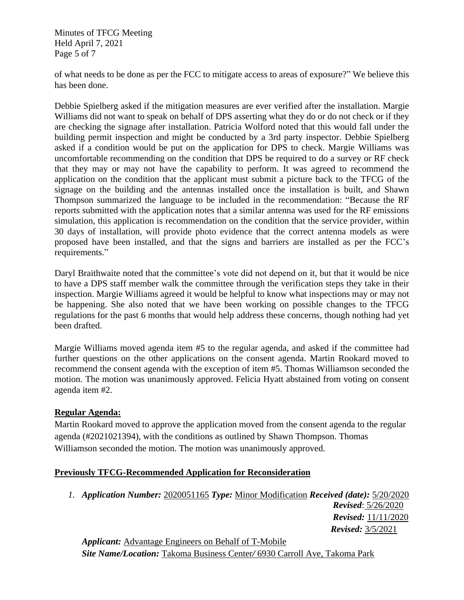Minutes of TFCG Meeting Held April 7, 2021 Page 5 of 7

of what needs to be done as per the FCC to mitigate access to areas of exposure?" We believe this has been done.

Debbie Spielberg asked if the mitigation measures are ever verified after the installation. Margie Williams did not want to speak on behalf of DPS asserting what they do or do not check or if they are checking the signage after installation. Patricia Wolford noted that this would fall under the building permit inspection and might be conducted by a 3rd party inspector. Debbie Spielberg asked if a condition would be put on the application for DPS to check. Margie Williams was uncomfortable recommending on the condition that DPS be required to do a survey or RF check that they may or may not have the capability to perform. It was agreed to recommend the application on the condition that the applicant must submit a picture back to the TFCG of the signage on the building and the antennas installed once the installation is built, and Shawn Thompson summarized the language to be included in the recommendation: "Because the RF reports submitted with the application notes that a similar antenna was used for the RF emissions simulation, this application is recommendation on the condition that the service provider, within 30 days of installation, will provide photo evidence that the correct antenna models as were proposed have been installed, and that the signs and barriers are installed as per the FCC's requirements."

Daryl Braithwaite noted that the committee's vote did not depend on it, but that it would be nice to have a DPS staff member walk the committee through the verification steps they take in their inspection. Margie Williams agreed it would be helpful to know what inspections may or may not be happening. She also noted that we have been working on possible changes to the TFCG regulations for the past 6 months that would help address these concerns, though nothing had yet been drafted.

Margie Williams moved agenda item #5 to the regular agenda, and asked if the committee had further questions on the other applications on the consent agenda. Martin Rookard moved to recommend the consent agenda with the exception of item #5. Thomas Williamson seconded the motion. The motion was unanimously approved. Felicia Hyatt abstained from voting on consent agenda item #2.

## **Regular Agenda:**

Martin Rookard moved to approve the application moved from the consent agenda to the regular agenda (#2021021394), with the conditions as outlined by Shawn Thompson. Thomas Williamson seconded the motion. The motion was unanimously approved.

## **Previously TFCG-Recommended Application for Reconsideration**

*1. Application Number:* 2020051165 *Type:* Minor Modification *Received (date):* 5/20/2020

*Revised*: 5/26/2020 *Revised:* 11/11/2020 *Revised:* 3/5/2021

*Applicant:* Advantage Engineers on Behalf of T-Mobile *Site Name/Location:* Takoma Business Center*/* 6930 Carroll Ave, Takoma Park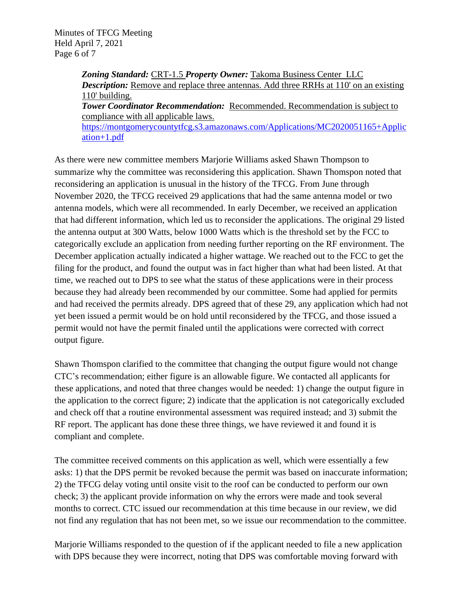Minutes of TFCG Meeting Held April 7, 2021 Page 6 of 7

> *Zoning Standard:* CRT-1.5 *Property Owner:* Takoma Business Center LLC *Description:* Remove and replace three antennas. Add three RRHs at 110' on an existing 110' building. *Tower Coordinator Recommendation:* Recommended. Recommendation is subject to compliance with all applicable laws.

> [https://montgomerycountytfcg.s3.amazonaws.com/Applications/MC2020051165+Applic](https://montgomerycountytfcg.s3.amazonaws.com/Applications/MC2020051165+Application+1.pdf) [ation+1.pdf](https://montgomerycountytfcg.s3.amazonaws.com/Applications/MC2020051165+Application+1.pdf)

As there were new committee members Marjorie Williams asked Shawn Thompson to summarize why the committee was reconsidering this application. Shawn Thomspon noted that reconsidering an application is unusual in the history of the TFCG. From June through November 2020, the TFCG received 29 applications that had the same antenna model or two antenna models, which were all recommended. In early December, we received an application that had different information, which led us to reconsider the applications. The original 29 listed the antenna output at 300 Watts, below 1000 Watts which is the threshold set by the FCC to categorically exclude an application from needing further reporting on the RF environment. The December application actually indicated a higher wattage. We reached out to the FCC to get the filing for the product, and found the output was in fact higher than what had been listed. At that time, we reached out to DPS to see what the status of these applications were in their process because they had already been recommended by our committee. Some had applied for permits and had received the permits already. DPS agreed that of these 29, any application which had not yet been issued a permit would be on hold until reconsidered by the TFCG, and those issued a permit would not have the permit finaled until the applications were corrected with correct output figure.

Shawn Thomspon clarified to the committee that changing the output figure would not change CTC's recommendation; either figure is an allowable figure. We contacted all applicants for these applications, and noted that three changes would be needed: 1) change the output figure in the application to the correct figure; 2) indicate that the application is not categorically excluded and check off that a routine environmental assessment was required instead; and 3) submit the RF report. The applicant has done these three things, we have reviewed it and found it is compliant and complete.

The committee received comments on this application as well, which were essentially a few asks: 1) that the DPS permit be revoked because the permit was based on inaccurate information; 2) the TFCG delay voting until onsite visit to the roof can be conducted to perform our own check; 3) the applicant provide information on why the errors were made and took several months to correct. CTC issued our recommendation at this time because in our review, we did not find any regulation that has not been met, so we issue our recommendation to the committee.

Marjorie Williams responded to the question of if the applicant needed to file a new application with DPS because they were incorrect, noting that DPS was comfortable moving forward with